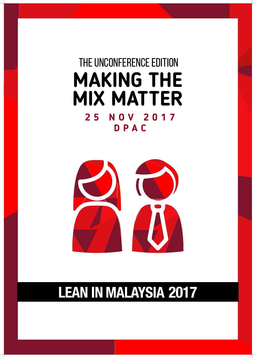### THE unCONFERENCE EDITION **MAKING THE MIX MATTER 25 NOV 2017 DPAC**



### **LEAN IN MALAYSIA 2017**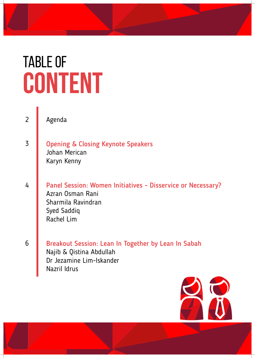# TABLE OF **CONTENT**

3

4

2

Agenda

- Opening & Closing Keynote Speakers Johan Merican Karyn Kenny
- Panel Session: Women Initiatives Disservice or Necessary? Azran Osman Rani Sharmila Ravindran Syed Saddiq Rachel Lim

6

Breakout Session: Lean In Together by Lean In Sabah Najib & Qistina Abdullah Dr Jezamine Lim-Iskander Nazril Idrus

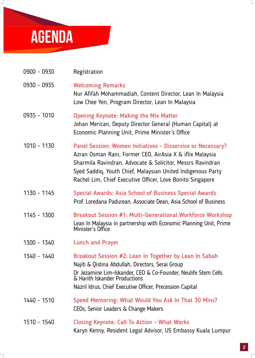

 $\overline{\phantom{0}}$ 

| 0900 - 0930   | Registration                                                                                                                                                                                                                                                                                                       |
|---------------|--------------------------------------------------------------------------------------------------------------------------------------------------------------------------------------------------------------------------------------------------------------------------------------------------------------------|
| 0930 - 0935   | <b>Welcoming Remarks</b><br>Nur Afifah Mohammadiah, Content Director, Lean In Malaysia<br>Low Chee Yen, Program Director, Lean In Malaysia                                                                                                                                                                         |
| $0935 - 1010$ | <b>Opening Keynote: Making the Mix Matter</b><br>Johan Merican, Deputy Director General (Human Capital) at<br>Economic Planning Unit, Prime Minister's Office                                                                                                                                                      |
| $1010 - 1130$ | Panel Session: Women Initiatives - Disservice or Necessary?<br>Azran Osman Rani, Former CEO, AirAsia X & iflix Malaysia<br>Sharmila Ravindran, Advocate & Solicitor, Messrs Ravindran<br>Syed Saddiq, Youth Chief, Malaysian United Indigenous Party<br>Rachel Lim, Chief Executive Officer, Love Bonito Singapore |
| 1130 - 1145   | Special Awards: Asia School of Business Special Awards<br>Prof. Loredana Padurean, Associate Dean, Asia School of Business                                                                                                                                                                                         |
| 1145 - 1300   | Breakout Session #1: Multi-Generational Workforce Workshop<br>Lean In Malaysia in partnership with Economic Planning Unit, Prime<br>Minister's Office                                                                                                                                                              |
| 1300 - 1340   | <b>Lunch and Prayer</b>                                                                                                                                                                                                                                                                                            |
| 1340 - 1440   | Breakout Session #2: Lean In Together by Lean In Sabah<br>Najib & Qistina Abdullah, Directors, Serai Group<br>Dr Jezamine Lim-Iskander, CEO & Co-Founder, Neulife Stem Cells<br>& Harith Iskander Productions<br>Nazril Idrus, Chief Executive Officer, Precession Capital                                         |
| 1440 - 1510   | Speed Mentoring: What Would You Ask In That 30 Mins?<br>CEOs, Senior Leaders & Change Makers                                                                                                                                                                                                                       |
| 1510 - 1540   | <b>Closing Keynote: Call To Action - What Works</b><br>Karyn Kenny, Resident Legal Advisor, US Embassy Kuala Lumpur                                                                                                                                                                                                |

Г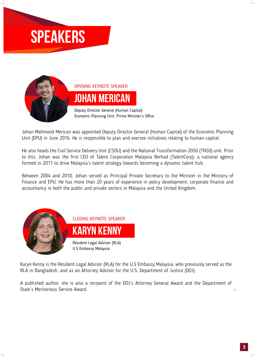## **SPEAKERS**



OPENING KEYNOTE SPEAKER **JOHAN MERICAN**

Deputy Director General (Human Capital) Economic Planning Unit, Prime Minister's Office

Johan Mahmood Merican was appointed Deputy Director General (Human Capital) of the Economic Planning Unit (EPU) in June 2016. He is responsible to plan and oversee initiatives relating to human capital.

He also heads the Civil Service Delivery Unit (CSDU) and the National Transformation 2050 (TN50) unit. Prior to this, Johan was the first CEO of Talent Corporation Malaysia Berhad (TalentCorp), a national agency formed in 2011 to drive Malaysia's talent strategy towards becoming a dynamic talent hub.

Between 2004 and 2010, Johan served as Principal Private Secretary to the Minister in the Ministry of Finance and EPU. He has more than 20 years of experience in policy development, corporate finance and accountancy in both the public and private sectors in Malaysia and the United Kingdom.



Karyn Kenny is the Resident Legal Advisor (RLA) for the U.S Embassy Malaysia, who previously served as the RLA in Bangladesh, and as an Attorney Advisor for the U.S. Department of Justice (DOJ).

A published author, she is also a recipient of the DOJ's Attorney General Award and the Department of State's Meritorious Service Award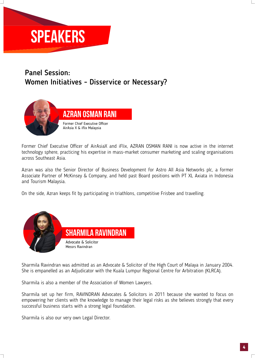# **SPEAKERS**

### Panel Session: Women Initiatives - Disservice or Necessary?



Former Chief Executive Officer of AirAsiaX and iFlix, AZRAN OSMAN RANI is now active in the internet technology sphere, practicing his expertise in mass-market consumer marketing and scaling organisations across Southeast Asia.

Azran was also the Senior Director of Business Development for Astro All Asia Networks plc, a former Associate Partner of McKinsey & Company, and held past Board positions with PT XL Axiata in Indonesia and Tourism Malaysia.

On the side, Azran keeps fit by participating in triathlons, competitive Frisbee and travelling.



Sharmila Ravindran was admitted as an Advocate & Solicitor of the High Court of Malaya in January 2004. She is empanelled as an Adjudicator with the Kuala Lumpur Regional Centre for Arbitration (KLRCA).

Sharmila is also a member of the Association of Women Lawyers.

Sharmila set up her firm, RAVINDRAN Advocates & Solicitors in 2011 because she wanted to focus on empowering her clients with the knowledge to manage their legal risks as she believes strongly that every successful business starts with a strong legal foundation.

Sharmila is also our very own Legal Director.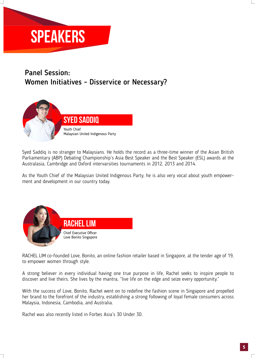# **SPEAKERS**

#### Panel Session: Women Initiatives - Disservice or Necessary?



Syed Saddiq is no stranger to Malaysians. He holds the record as a three-time winner of the Asian British Parliamentary (ABP) Debating Championship's Asia Best Speaker and the Best Speaker (ESL) awards at the Australasia, Cambridge and Oxford intervarsities tournaments in 2012, 2013 and 2014.

As the Youth Chief of the Malaysian United Indigenous Party, he is also very vocal about youth empowerment and development in our country today.



RACHEL LIM co-founded Love, Bonito, an online fashion retailer based in Singapore, at the tender age of 19, to empower women through style.

A strong believer in every individual having one true purpose in life, Rachel seeks to inspire people to discover and live theirs. She lives by the mantra, "live life on the edge and seize every opportunity."

With the success of Love, Bonito, Rachel went on to redefine the fashion scene in Singapore and propelled her brand to the forefront of the industry, establishing a strong following of loyal female consumers across Malaysia, Indonesia, Cambodia, and Australia.

Rachel was also recently listed in Forbes Asia's 30 Under 30.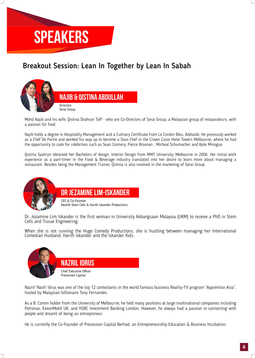

#### Breakout Session: Lean In Together by Lean In Sabah



Mohd Najib and his wife, Qistina Shahryir Taff - who are Co-Directors of Serai Group, a Malaysian group of restaurateurs, with a passion for food.

Najib holds a degree in Hospitality Management and a Culinary Certificate from Le Cordon Bleu, Adelaide. He previously worked as a Chef De Partie and worked his way up to become a Sous Chef in the Crown Casio Hotel Towers Melbourne, where he had the opportunity to cook for celebrities such as Sean Connery, Pierce Brosnan , Micheal Schumacher and Kylie Minogue.

Qistina Syahryir obtained her Bachelors of design, Interior Design from RMIT University, Melbourne in 2006. Her initial work experience as a part-timer in the Food & Beverage industry translated into her desire to learn more about managing a restaurant. Besides being the Management Trainer, Qistina is also involved in the marketing of Serai Group.



**Dr Jezamine Lim-Iskander**

CEO & Co-Founder Neulife Stem Cells & Harith Iskander Productions

Dr. Jezamine Lim Iskander is the first woman in University Kebangsaan Malaysia (UKM) to receive a PhD in Stem Cells and Tissue Engineering.

When she is not running the Huge Comedy Productions, she is hustling between managing her International Comedian Husband, Harith Iskander and the Iskander Kids.



Nazril 'Nash' Idrus was one of the top 12 contestants in the world famous business Reality-TV program "Apprentice Asia", hosted by Malaysian billionaire Tony Fernandes.

As a B. Comm holder from the University of Melbourne, he held many positions at large multinational companies including Petronas, ExxonMobil UK, and HSBC Investment Banking London. However, he always had a passion in connecting with people and dreamt of being an entrepreneur.

He is currently the Co-Founder of Precession Capital Berhad, an Entrepreneurship Education & Business Incubation.